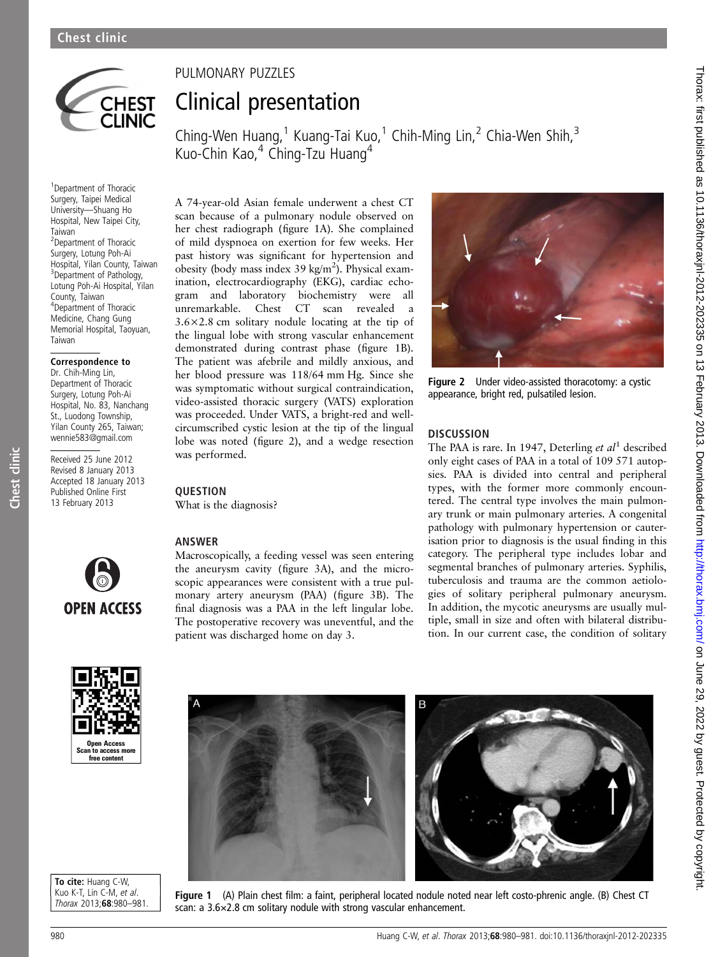

# PULMONARY PUZZLES Clinical presentation

Ching-Wen Huang,<sup>1</sup> Kuang-Tai Kuo,<sup>1</sup> Chih-Ming Lin,<sup>2</sup> Chia-Wen Shih,<sup>3</sup> Kuo-Chin Kao,<sup>4</sup> Ching-Tzu Huang<sup>4</sup>

1 Department of Thoracic Surgery, Taipei Medical University—Shuang Ho Hospital, New Taipei City, Taiwan <sup>2</sup> Department of Thoracic Surgery, Lotung Poh-Ai Hospital, Yilan County, Taiwan <sup>3</sup>Department of Pathology, Lotung Poh-Ai Hospital, Yilan County, Taiwan 4 Department of Thoracic Medicine, Chang Gung Memorial Hospital, Taoyuan, Taiwan

#### Correspondence to

Dr. Chih-Ming Lin, Department of Thoracic Surgery, Lotung Poh-Ai Hospital, No. 83, Nanchang St., Luodong Township, Yilan County 265, Taiwan; wennie583@gmail.com

Received 25 June 2012 Revised 8 January 2013 Accepted 18 January 2013 Published Online First 13 February 2013

Chest clinic

Chest clinic



## **OUESTION**

What is the diagnosis?



ANSWER

Macroscopically, a feeding vessel was seen entering the aneurysm cavity (figure 3A), and the microscopic appearances were consistent with a true pulmonary artery aneurysm (PAA) (figure 3B). The final diagnosis was a PAA in the left lingular lobe. The postoperative recovery was uneventful, and the patient was discharged home on day 3.



Figure 2 Under video-assisted thoracotomy: a cystic appearance, bright red, pulsatiled lesion.

### **DISCUSSION**

The PAA is rare. In 1947, Deterling et  $al<sup>1</sup>$  described only eight cases of PAA in a total of 109 571 autopsies. PAA is divided into central and peripheral types, with the former more commonly encountered. The central type involves the main pulmonary trunk or main pulmonary arteries. A congenital pathology with pulmonary hypertension or cauterisation prior to diagnosis is the usual finding in this category. The peripheral type includes lobar and segmental branches of pulmonary arteries. Syphilis, tuberculosis and trauma are the common aetiologies of solitary peripheral pulmonary aneurysm. In addition, the mycotic aneurysms are usually multiple, small in size and often with bilateral distribution. In our current case, the condition of solitary



To cite: Huang C-W, Kuo K-T, Lin C-M, et al. Thorax 2013;68:980–981.



Figure 1 (A) Plain chest film: a faint, peripheral located nodule noted near left costo-phrenic angle. (B) Chest CT scan: a 3.6×2.8 cm solitary nodule with strong vascular enhancement.